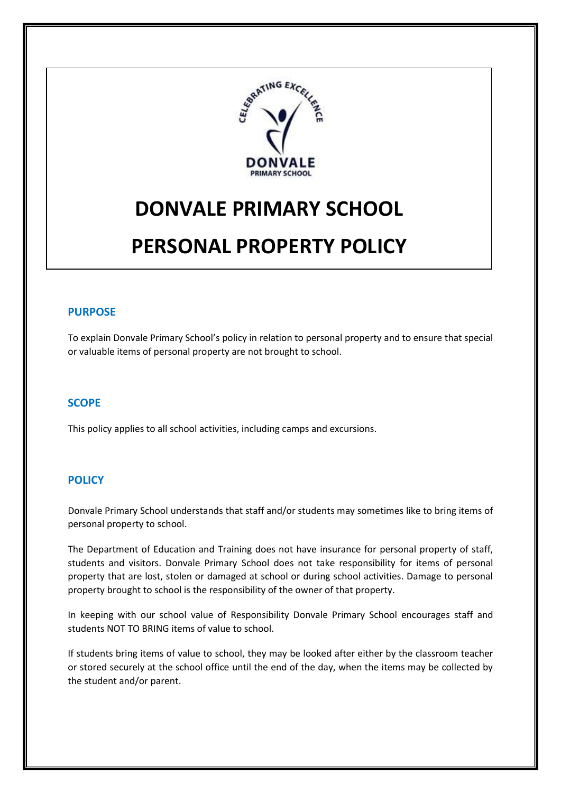

# **DONVALE PRIMARY SCHOOL PERSONAL PROPERTY POLICY**

## **PURPOSE**

To explain Donvale Primary School's policy in relation to personal property and to ensure that special or valuable items of personal property are not brought to school.

#### **SCOPE**

This policy applies to all school activities, including camps and excursions.

#### **POLICY**

Donvale Primary School understands that staff and/or students may sometimes like to bring items of personal property to school.

The Department of Education and Training does not have insurance for personal property of staff, students and visitors. Donvale Primary School does not take responsibility for items of personal property that are lost, stolen or damaged at school or during school activities. Damage to personal property brought to school is the responsibility of the owner of that property.

In keeping with our school value of Responsibility Donvale Primary School encourages staff and students NOT TO BRING items of value to school.

If students bring items of value to school, they may be looked after either by the classroom teacher or stored securely at the school office until the end of the day, when the items may be collected by the student and/or parent.